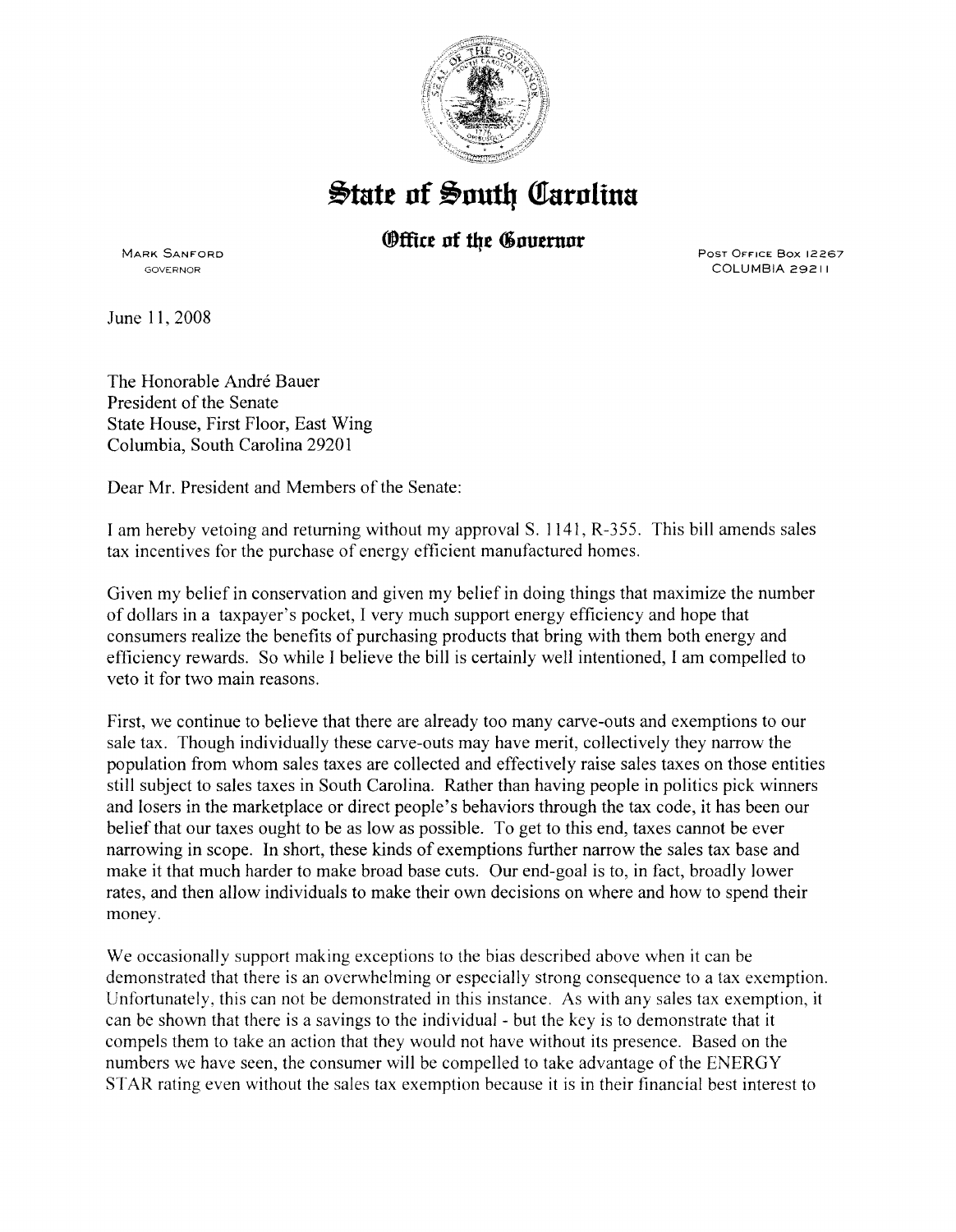

## $\frac{1}{2}$ tate of South Carolina

## *®ffice of the Governor*

MARK SANFORD GOVERNOR

PosT OFFICE Box 12267 COLUMBIA 29211

June II, 2008

The Honorable André Bauer President of the Senate State House, First Floor, East Wing Columbia, South Carolina 29201

Dear Mr. President and Members of the Senate:

I am hereby vetoing and returning without my approvalS. II4I, R-355. This bill amends sales tax incentives for the purchase of energy efficient manufactured homes.

Given my belief in conservation and given my belief in doing things that maximize the number of dollars in a taxpayer's pocket, I very much support energy efficiency and hope that consumers realize the benefits of purchasing products that bring with them both energy and efficiency rewards. So while I believe the bill is certainly well intentioned, I am compelled to veto it for two main reasons.

First, we continue to believe that there are already too many carve-outs and exemptions to our sale tax. Though individually these carve-outs may have merit, collectively they narrow the population from whom sales taxes are collected and effectively raise sales taxes on those entities still subject to sales taxes in South Carolina. Rather than having people in politics pick winners and losers in the marketplace or direct people's behaviors through the tax code, it has been our belief that our taxes ought to be as low as possible. To get to this end, taxes cannot be ever narrowing in scope. In short, these kinds of exemptions further narrow the sales tax base and make it that much harder to make broad base cuts. Our end-goal is to, in fact, broadly lower rates, and then allow individuals to make their own decisions on where and how to spend their money.

We occasionally support making exceptions to the bias described above when it can be demonstrated that there is an overwhelming or especially strong consequence to a tax exemption. Unfortunately, this can not be demonstrated in this instance. As with any sales tax exemption, it can be shown that there is a savings to the individual - but the key is to demonstrate that it compels them to take an action that they would not have without its presence. Based on the numbers we have seen, the consumer will be compelled to take advantage of the ENERGY STAR rating even without the sales tax exemption because it is in their financial best interest to